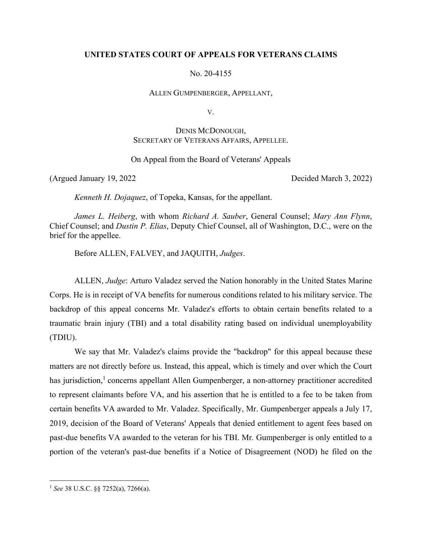## **UNITED STATES COURT OF APPEALS FOR VETERANS CLAIMS**

No. 20-4155

ALLEN GUMPENBERGER, APPELLANT,

V.

# DENIS MCDONOUGH, SECRETARY OF VETERANS AFFAIRS, APPELLEE.

On Appeal from the Board of Veterans' Appeals

(Argued January 19, 2022 Decided March 3, 2022)

*Kenneth H. Dojaquez*, of Topeka, Kansas, for the appellant.

*James L. Heiberg*, with whom *Richard A. Sauber*, General Counsel; *Mary Ann Flynn*, Chief Counsel; and *Dustin P. Elias*, Deputy Chief Counsel, all of Washington, D.C., were on the brief for the appellee.

Before ALLEN, FALVEY, and JAQUITH, *Judges*.

ALLEN, *Judge*: Arturo Valadez served the Nation honorably in the United States Marine Corps. He is in receipt of VA benefits for numerous conditions related to his military service. The backdrop of this appeal concerns Mr. Valadez's efforts to obtain certain benefits related to a traumatic brain injury (TBI) and a total disability rating based on individual unemployability (TDIU).

We say that Mr. Valadez's claims provide the "backdrop" for this appeal because these matters are not directly before us. Instead, this appeal, which is timely and over which the Court has jurisdiction,<sup>1</sup> concerns appellant Allen Gumpenberger, a non-attorney practitioner accredited to represent claimants before VA, and his assertion that he is entitled to a fee to be taken from certain benefits VA awarded to Mr. Valadez. Specifically, Mr. Gumpenberger appeals a July 17, 2019, decision of the Board of Veterans' Appeals that denied entitlement to agent fees based on past-due benefits VA awarded to the veteran for his TBI. Mr. Gumpenberger is only entitled to a portion of the veteran's past-due benefits if a Notice of Disagreement (NOD) he filed on the

<sup>1</sup> *See* 38 U.S.C. §§ 7252(a), 7266(a).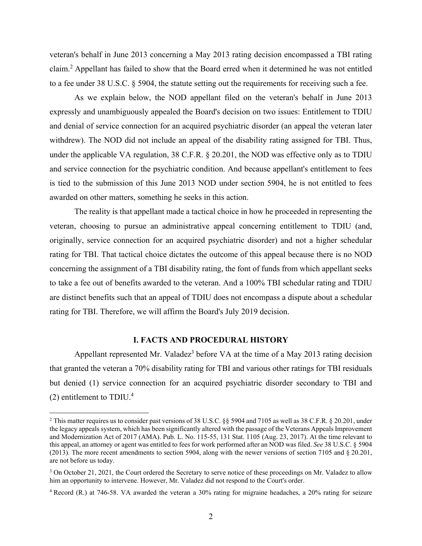veteran's behalf in June 2013 concerning a May 2013 rating decision encompassed a TBI rating claim.<sup>2</sup> Appellant has failed to show that the Board erred when it determined he was not entitled to a fee under 38 U.S.C. § 5904, the statute setting out the requirements for receiving such a fee.

As we explain below, the NOD appellant filed on the veteran's behalf in June 2013 expressly and unambiguously appealed the Board's decision on two issues: Entitlement to TDIU and denial of service connection for an acquired psychiatric disorder (an appeal the veteran later withdrew). The NOD did not include an appeal of the disability rating assigned for TBI. Thus, under the applicable VA regulation, 38 C.F.R. § 20.201, the NOD was effective only as to TDIU and service connection for the psychiatric condition. And because appellant's entitlement to fees is tied to the submission of this June 2013 NOD under section 5904, he is not entitled to fees awarded on other matters, something he seeks in this action.

The reality is that appellant made a tactical choice in how he proceeded in representing the veteran, choosing to pursue an administrative appeal concerning entitlement to TDIU (and, originally, service connection for an acquired psychiatric disorder) and not a higher schedular rating for TBI. That tactical choice dictates the outcome of this appeal because there is no NOD concerning the assignment of a TBI disability rating, the font of funds from which appellant seeks to take a fee out of benefits awarded to the veteran. And a 100% TBI schedular rating and TDIU are distinct benefits such that an appeal of TDIU does not encompass a dispute about a schedular rating for TBI. Therefore, we will affirm the Board's July 2019 decision.

## **I. FACTS AND PROCEDURAL HISTORY**

Appellant represented Mr. Valadez<sup>3</sup> before VA at the time of a May 2013 rating decision that granted the veteran a 70% disability rating for TBI and various other ratings for TBI residuals but denied (1) service connection for an acquired psychiatric disorder secondary to TBI and (2) entitlement to  $TDIU.<sup>4</sup>$ 

<sup>&</sup>lt;sup>2</sup> This matter requires us to consider past versions of 38 U.S.C. §§ 5904 and 7105 as well as 38 C.F.R. § 20.201, under the legacy appeals system, which has been significantly altered with the passage of the Veterans Appeals Improvement and Modernization Act of 2017 (AMA). Pub. L. No. 115-55, 131 Stat. 1105 (Aug. 23, 2017). At the time relevant to this appeal, an attorney or agent was entitled to fees for work performed after an NOD was filed. *See* 38 U.S.C. § 5904 (2013). The more recent amendments to section 5904, along with the newer versions of section 7105 and § 20.201, are not before us today.

<sup>&</sup>lt;sup>3</sup> On October 21, 2021, the Court ordered the Secretary to serve notice of these proceedings on Mr. Valadez to allow him an opportunity to intervene. However, Mr. Valadez did not respond to the Court's order.

<sup>4</sup> Record (R.) at 746-58. VA awarded the veteran a 30% rating for migraine headaches, a 20% rating for seizure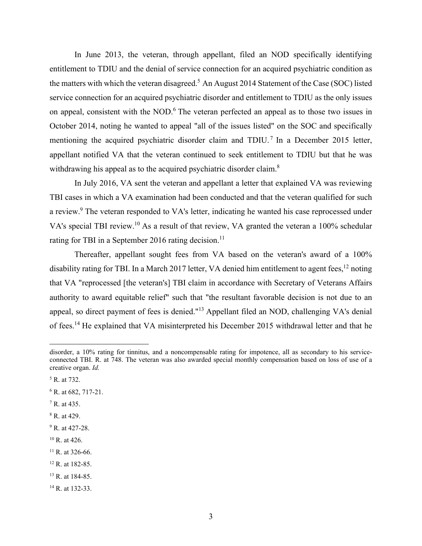In June 2013, the veteran, through appellant, filed an NOD specifically identifying entitlement to TDIU and the denial of service connection for an acquired psychiatric condition as the matters with which the veteran disagreed.<sup>5</sup> An August 2014 Statement of the Case (SOC) listed service connection for an acquired psychiatric disorder and entitlement to TDIU as the only issues on appeal, consistent with the NOD. $6$  The veteran perfected an appeal as to those two issues in October 2014, noting he wanted to appeal "all of the issues listed" on the SOC and specifically mentioning the acquired psychiatric disorder claim and TDIU.<sup>7</sup> In a December 2015 letter, appellant notified VA that the veteran continued to seek entitlement to TDIU but that he was withdrawing his appeal as to the acquired psychiatric disorder claim.<sup>8</sup>

 In July 2016, VA sent the veteran and appellant a letter that explained VA was reviewing TBI cases in which a VA examination had been conducted and that the veteran qualified for such a review.<sup>9</sup> The veteran responded to VA's letter, indicating he wanted his case reprocessed under VA's special TBI review.<sup>10</sup> As a result of that review, VA granted the veteran a 100% schedular rating for TBI in a September 2016 rating decision.<sup>11</sup>

 Thereafter, appellant sought fees from VA based on the veteran's award of a 100% disability rating for TBI. In a March 2017 letter, VA denied him entitlement to agent fees,<sup>12</sup> noting that VA "reprocessed [the veteran's] TBI claim in accordance with Secretary of Veterans Affairs authority to award equitable relief" such that "the resultant favorable decision is not due to an appeal, so direct payment of fees is denied."13 Appellant filed an NOD, challenging VA's denial of fees.14 He explained that VA misinterpreted his December 2015 withdrawal letter and that he

- $7 R.$  at 435.
- 8 R. at 429.

- $10$  R. at 426.
- $11$  R. at 326-66.
- 12 R. at 182-85.
- <sup>13</sup> R. at 184-85.
- <sup>14</sup> R. at 132-33.

disorder, a 10% rating for tinnitus, and a noncompensable rating for impotence, all as secondary to his serviceconnected TBI. R. at 748. The veteran was also awarded special monthly compensation based on loss of use of a creative organ. *Id.*

<sup>5</sup> R. at 732.

<sup>&</sup>lt;sup>6</sup> R. at 682, 717-21.

<sup>&</sup>lt;sup>9</sup> R. at 427-28.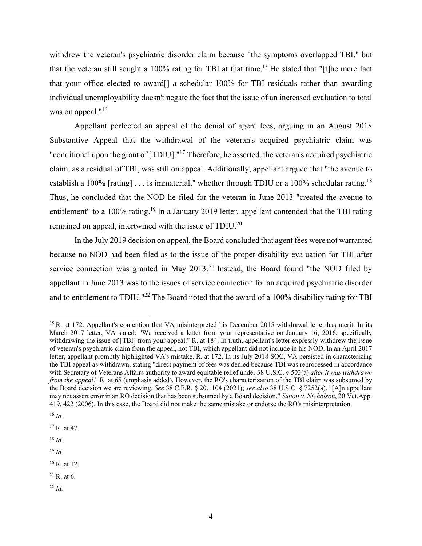withdrew the veteran's psychiatric disorder claim because "the symptoms overlapped TBI," but that the veteran still sought a 100% rating for TBI at that time.<sup>15</sup> He stated that "[t]he mere fact that your office elected to award[] a schedular 100% for TBI residuals rather than awarding individual unemployability doesn't negate the fact that the issue of an increased evaluation to total was on appeal."<sup>16</sup>

 Appellant perfected an appeal of the denial of agent fees, arguing in an August 2018 Substantive Appeal that the withdrawal of the veteran's acquired psychiatric claim was "conditional upon the grant of [TDIU]."<sup>17</sup> Therefore, he asserted, the veteran's acquired psychiatric claim, as a residual of TBI, was still on appeal. Additionally, appellant argued that "the avenue to establish a 100% [rating]  $\ldots$  is immaterial," whether through TDIU or a 100% schedular rating.<sup>18</sup> Thus, he concluded that the NOD he filed for the veteran in June 2013 "created the avenue to entitlement" to a 100% rating.<sup>19</sup> In a January 2019 letter, appellant contended that the TBI rating remained on appeal, intertwined with the issue of TDIU.<sup>20</sup>

 In the July 2019 decision on appeal, the Board concluded that agent fees were not warranted because no NOD had been filed as to the issue of the proper disability evaluation for TBI after service connection was granted in May  $2013$ .<sup>21</sup> Instead, the Board found "the NOD filed by appellant in June 2013 was to the issues of service connection for an acquired psychiatric disorder and to entitlement to TDIU."<sup>22</sup> The Board noted that the award of a 100% disability rating for TBI

<sup>18</sup> *Id.*

<sup>19</sup> *Id.*

- $20$  R. at 12.
- $21$  R. at 6.
- <sup>22</sup> *Id.*

<sup>&</sup>lt;sup>15</sup> R. at 172. Appellant's contention that VA misinterpreted his December 2015 withdrawal letter has merit. In its March 2017 letter, VA stated: "We received a letter from your representative on January 16, 2016, specifically withdrawing the issue of [TBI] from your appeal." R. at 184. In truth, appellant's letter expressly withdrew the issue of veteran's psychiatric claim from the appeal, not TBI, which appellant did not include in his NOD. In an April 2017 letter, appellant promptly highlighted VA's mistake. R. at 172. In its July 2018 SOC, VA persisted in characterizing the TBI appeal as withdrawn, stating "direct payment of fees was denied because TBI was reprocessed in accordance with Secretary of Veterans Affairs authority to award equitable relief under 38 U.S.C. § 503(a) *after it was withdrawn from the appeal*." R. at 65 (emphasis added). However, the RO's characterization of the TBI claim was subsumed by the Board decision we are reviewing. *See* 38 C.F.R. § 20.1104 (2021); *see also* 38 U.S.C. § 7252(a). "[A]n appellant may not assert error in an RO decision that has been subsumed by a Board decision." *Sutton v. Nicholson*, 20 Vet.App. 419, 422 (2006). In this case, the Board did not make the same mistake or endorse the RO's misinterpretation.

<sup>16</sup> *Id.*

<sup>17</sup> R. at 47.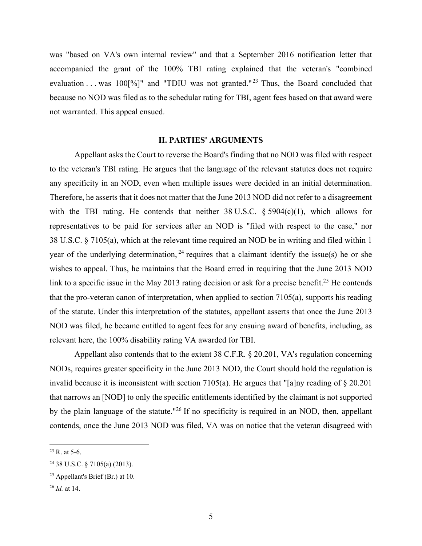was "based on VA's own internal review" and that a September 2016 notification letter that accompanied the grant of the 100% TBI rating explained that the veteran's "combined evaluation . . . was  $100\frac{9}{6}$ " and "TDIU was not granted."<sup>23</sup> Thus, the Board concluded that because no NOD was filed as to the schedular rating for TBI, agent fees based on that award were not warranted. This appeal ensued.

#### **II. PARTIES' ARGUMENTS**

 Appellant asks the Court to reverse the Board's finding that no NOD was filed with respect to the veteran's TBI rating. He argues that the language of the relevant statutes does not require any specificity in an NOD, even when multiple issues were decided in an initial determination. Therefore, he asserts that it does not matter that the June 2013 NOD did not refer to a disagreement with the TBI rating. He contends that neither  $38 \text{ U.S.C. }$  §  $5904(c)(1)$ , which allows for representatives to be paid for services after an NOD is "filed with respect to the case," nor 38 U.S.C. § 7105(a), which at the relevant time required an NOD be in writing and filed within 1 year of the underlying determination,  $^{24}$  requires that a claimant identify the issue(s) he or she wishes to appeal. Thus, he maintains that the Board erred in requiring that the June 2013 NOD link to a specific issue in the May 2013 rating decision or ask for a precise benefit.<sup>25</sup> He contends that the pro-veteran canon of interpretation, when applied to section 7105(a), supports his reading of the statute. Under this interpretation of the statutes, appellant asserts that once the June 2013 NOD was filed, he became entitled to agent fees for any ensuing award of benefits, including, as relevant here, the 100% disability rating VA awarded for TBI.

Appellant also contends that to the extent 38 C.F.R. § 20.201, VA's regulation concerning NODs, requires greater specificity in the June 2013 NOD, the Court should hold the regulation is invalid because it is inconsistent with section 7105(a). He argues that "[a]ny reading of § 20.201 that narrows an [NOD] to only the specific entitlements identified by the claimant is not supported by the plain language of the statute."26 If no specificity is required in an NOD, then, appellant contends, once the June 2013 NOD was filed, VA was on notice that the veteran disagreed with

 $23$  R. at 5-6.

<sup>24 38</sup> U.S.C. § 7105(a) (2013).

 $25$  Appellant's Brief (Br.) at 10.

<sup>26</sup> *Id.* at 14.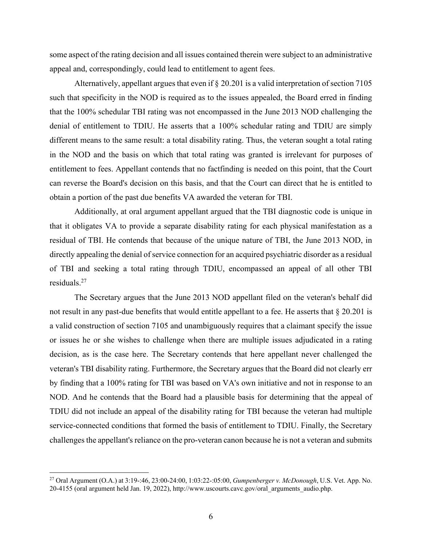some aspect of the rating decision and all issues contained therein were subject to an administrative appeal and, correspondingly, could lead to entitlement to agent fees.

Alternatively, appellant argues that even if  $\S 20.201$  is a valid interpretation of section 7105 such that specificity in the NOD is required as to the issues appealed, the Board erred in finding that the 100% schedular TBI rating was not encompassed in the June 2013 NOD challenging the denial of entitlement to TDIU. He asserts that a 100% schedular rating and TDIU are simply different means to the same result: a total disability rating. Thus, the veteran sought a total rating in the NOD and the basis on which that total rating was granted is irrelevant for purposes of entitlement to fees. Appellant contends that no factfinding is needed on this point, that the Court can reverse the Board's decision on this basis, and that the Court can direct that he is entitled to obtain a portion of the past due benefits VA awarded the veteran for TBI.

Additionally, at oral argument appellant argued that the TBI diagnostic code is unique in that it obligates VA to provide a separate disability rating for each physical manifestation as a residual of TBI. He contends that because of the unique nature of TBI, the June 2013 NOD, in directly appealing the denial of service connection for an acquired psychiatric disorder as a residual of TBI and seeking a total rating through TDIU, encompassed an appeal of all other TBI residuals.27

 The Secretary argues that the June 2013 NOD appellant filed on the veteran's behalf did not result in any past-due benefits that would entitle appellant to a fee. He asserts that § 20.201 is a valid construction of section 7105 and unambiguously requires that a claimant specify the issue or issues he or she wishes to challenge when there are multiple issues adjudicated in a rating decision, as is the case here. The Secretary contends that here appellant never challenged the veteran's TBI disability rating. Furthermore, the Secretary argues that the Board did not clearly err by finding that a 100% rating for TBI was based on VA's own initiative and not in response to an NOD. And he contends that the Board had a plausible basis for determining that the appeal of TDIU did not include an appeal of the disability rating for TBI because the veteran had multiple service-connected conditions that formed the basis of entitlement to TDIU. Finally, the Secretary challenges the appellant's reliance on the pro-veteran canon because he is not a veteran and submits

<sup>27</sup> Oral Argument (O.A.) at 3:19-:46, 23:00-24:00, 1:03:22-:05:00, *Gumpenberger v. McDonough*, U.S. Vet. App. No. 20-4155 (oral argument held Jan. 19, 2022), http://www.uscourts.cavc.gov/oral\_arguments\_audio.php.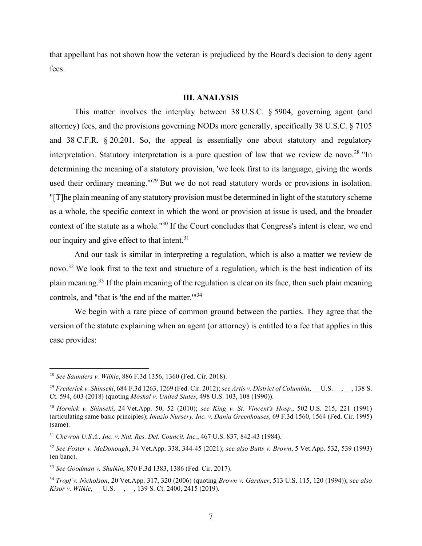that appellant has not shown how the veteran is prejudiced by the Board's decision to deny agent fees.

### **III. ANALYSIS**

This matter involves the interplay between 38 U.S.C. § 5904, governing agent (and attorney) fees, and the provisions governing NODs more generally, specifically 38 U.S.C. § 7105 and 38 C.F.R. § 20.201. So, the appeal is essentially one about statutory and regulatory interpretation. Statutory interpretation is a pure question of law that we review de novo.<sup>28</sup> "In determining the meaning of a statutory provision, 'we look first to its language, giving the words used their ordinary meaning.'"29 But we do not read statutory words or provisions in isolation. "[T]he plain meaning of any statutory provision must be determined in light of the statutory scheme as a whole, the specific context in which the word or provision at issue is used, and the broader context of the statute as a whole."30 If the Court concludes that Congress's intent is clear, we end our inquiry and give effect to that intent.31

And our task is similar in interpreting a regulation, which is also a matter we review de novo.<sup>32</sup> We look first to the text and structure of a regulation, which is the best indication of its plain meaning.33 If the plain meaning of the regulation is clear on its face, then such plain meaning controls, and "that is 'the end of the matter.'"34

We begin with a rare piece of common ground between the parties. They agree that the version of the statute explaining when an agent (or attorney) is entitled to a fee that applies in this case provides:

<sup>28</sup> *See Saunders v. Wilkie*, 886 F.3d 1356, 1360 (Fed. Cir. 2018).

<sup>&</sup>lt;sup>29</sup> Frederick v. Shinseki, 684 F.3d 1263, 1269 (Fed. Cir. 2012); see Artis v. District of Columbia, U.S. , , 138 S. Ct. 594, 603 (2018) (quoting *Moskal v. United States*, 498 U.S. 103, 108 (1990)).

<sup>30</sup> *Hornick v. Shinseki*, 24 Vet.App. 50, 52 (2010); *see King v. St. Vincent's Hosp.*, 502 U.S. 215, 221 (1991) (articulating same basic principles); *Imazio Nursery, Inc. v. Dania Greenhouses*, 69 F.3d 1560, 1564 (Fed. Cir. 1995) (same).

<sup>31</sup> *Chevron U.S.A., Inc. v. Nat. Res. Def. Council, Inc.*, 467 U.S. 837, 842-43 (1984).

<sup>32</sup> *See Foster v. McDonough*, 34 Vet.App. 338, 344-45 (2021); *see also Butts v. Brown*, 5 Vet.App. 532, 539 (1993) (en banc).

<sup>33</sup> *See Goodman v. Shulkin*, 870 F.3d 1383, 1386 (Fed. Cir. 2017).

<sup>34</sup> *Tropf v. Nicholson*, 20 Vet.App. 317, 320 (2006) (quoting *Brown v. Gardner*, 513 U.S. 115, 120 (1994)); *see also Kisor v. Wilkie*, \_\_ U.S. \_\_, \_\_, 139 S. Ct. 2400, 2415 (2019).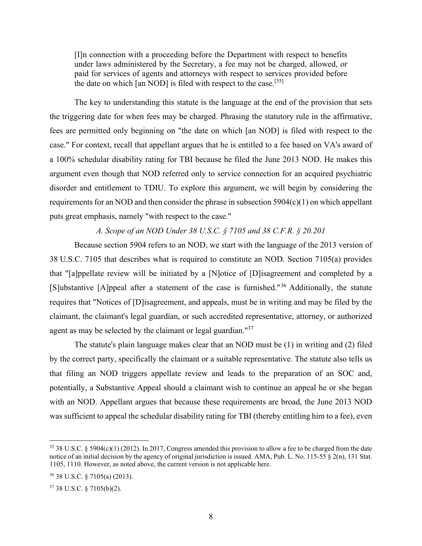[I]n connection with a proceeding before the Department with respect to benefits under laws administered by the Secretary, a fee may not be charged, allowed, or paid for services of agents and attorneys with respect to services provided before the date on which [an NOD] is filed with respect to the case.<sup>[35]</sup>

 The key to understanding this statute is the language at the end of the provision that sets the triggering date for when fees may be charged. Phrasing the statutory rule in the affirmative, fees are permitted only beginning on "the date on which [an NOD] is filed with respect to the case." For context, recall that appellant argues that he is entitled to a fee based on VA's award of a 100% schedular disability rating for TBI because he filed the June 2013 NOD. He makes this argument even though that NOD referred only to service connection for an acquired psychiatric disorder and entitlement to TDIU. To explore this argument, we will begin by considering the requirements for an NOD and then consider the phrase in subsection  $5904(c)(1)$  on which appellant puts great emphasis, namely "with respect to the case."

## *A. Scope of an NOD Under 38 U.S.C. § 7105 and 38 C.F.R. § 20.201*

 Because section 5904 refers to an NOD, we start with the language of the 2013 version of 38 U.S.C. 7105 that describes what is required to constitute an NOD. Section 7105(a) provides that "[a]ppellate review will be initiated by a [N]otice of [D]isagreement and completed by a [S]ubstantive [A]ppeal after a statement of the case is furnished."<sup>36</sup> Additionally, the statute requires that "Notices of [D]isagreement, and appeals, must be in writing and may be filed by the claimant, the claimant's legal guardian, or such accredited representative, attorney, or authorized agent as may be selected by the claimant or legal guardian."<sup>37</sup>

 The statute's plain language makes clear that an NOD must be (1) in writing and (2) filed by the correct party, specifically the claimant or a suitable representative. The statute also tells us that filing an NOD triggers appellate review and leads to the preparation of an SOC and, potentially, a Substantive Appeal should a claimant wish to continue an appeal he or she began with an NOD. Appellant argues that because these requirements are broad, the June 2013 NOD was sufficient to appeal the schedular disability rating for TBI (thereby entitling him to a fee), even

<sup>35 38</sup> U.S.C. § 5904(c)(1) (2012). In 2017, Congress amended this provision to allow a fee to be charged from the date notice of an initial decision by the agency of original jurisdiction is issued. AMA, Pub. L. No. 115-55  $\S$  2(n), 131 Stat. 1105, 1110. However, as noted above, the current version is not applicable here.

<sup>36 38</sup> U.S.C. § 7105(a) (2013).

<sup>37 38</sup> U.S.C. § 7105(b)(2).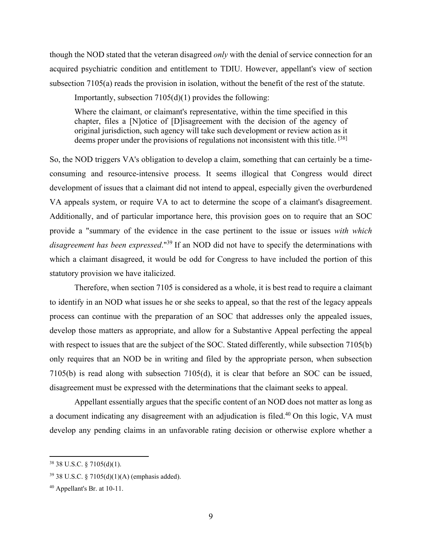though the NOD stated that the veteran disagreed *only* with the denial of service connection for an acquired psychiatric condition and entitlement to TDIU. However, appellant's view of section subsection 7105(a) reads the provision in isolation, without the benefit of the rest of the statute.

Importantly, subsection 7105(d)(1) provides the following:

Where the claimant, or claimant's representative, within the time specified in this chapter, files a [N]otice of [D]isagreement with the decision of the agency of original jurisdiction, such agency will take such development or review action as it deems proper under the provisions of regulations not inconsistent with this title. [38]

So, the NOD triggers VA's obligation to develop a claim, something that can certainly be a timeconsuming and resource-intensive process. It seems illogical that Congress would direct development of issues that a claimant did not intend to appeal, especially given the overburdened VA appeals system, or require VA to act to determine the scope of a claimant's disagreement. Additionally, and of particular importance here, this provision goes on to require that an SOC provide a "summary of the evidence in the case pertinent to the issue or issues *with which disagreement has been expressed*."39 If an NOD did not have to specify the determinations with which a claimant disagreed, it would be odd for Congress to have included the portion of this statutory provision we have italicized.

 Therefore, when section 7105 is considered as a whole, it is best read to require a claimant to identify in an NOD what issues he or she seeks to appeal, so that the rest of the legacy appeals process can continue with the preparation of an SOC that addresses only the appealed issues, develop those matters as appropriate, and allow for a Substantive Appeal perfecting the appeal with respect to issues that are the subject of the SOC. Stated differently, while subsection 7105(b) only requires that an NOD be in writing and filed by the appropriate person, when subsection 7105(b) is read along with subsection 7105(d), it is clear that before an SOC can be issued, disagreement must be expressed with the determinations that the claimant seeks to appeal.

 Appellant essentially argues that the specific content of an NOD does not matter as long as a document indicating any disagreement with an adjudication is filed.<sup>40</sup> On this logic, VA must develop any pending claims in an unfavorable rating decision or otherwise explore whether a

 $38$  38 U.S.C.  $\frac{$}{9}$  7105(d)(1).

<sup>39 38</sup> U.S.C. § 7105(d)(1)(A) (emphasis added).

<sup>40</sup> Appellant's Br. at 10-11.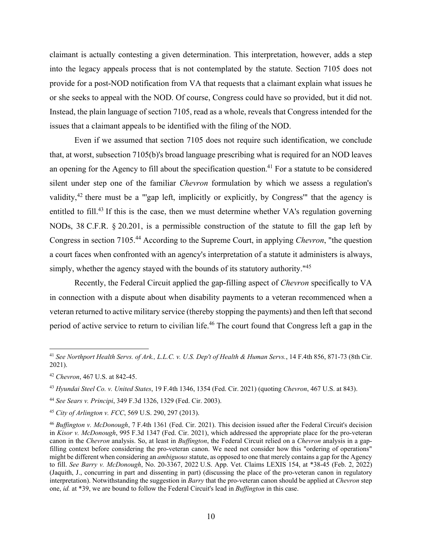claimant is actually contesting a given determination. This interpretation, however, adds a step into the legacy appeals process that is not contemplated by the statute. Section 7105 does not provide for a post-NOD notification from VA that requests that a claimant explain what issues he or she seeks to appeal with the NOD. Of course, Congress could have so provided, but it did not. Instead, the plain language of section 7105, read as a whole, reveals that Congress intended for the issues that a claimant appeals to be identified with the filing of the NOD.

 Even if we assumed that section 7105 does not require such identification, we conclude that, at worst, subsection 7105(b)'s broad language prescribing what is required for an NOD leaves an opening for the Agency to fill about the specification question.<sup>41</sup> For a statute to be considered silent under step one of the familiar *Chevron* formulation by which we assess a regulation's validity,42 there must be a "'gap left, implicitly or explicitly, by Congress'" that the agency is entitled to fill.<sup>43</sup> If this is the case, then we must determine whether VA's regulation governing NODs, 38 C.F.R. § 20.201, is a permissible construction of the statute to fill the gap left by Congress in section 7105.44 According to the Supreme Court, in applying *Chevron*, "the question a court faces when confronted with an agency's interpretation of a statute it administers is always, simply, whether the agency stayed with the bounds of its statutory authority."<sup>45</sup>

 Recently, the Federal Circuit applied the gap-filling aspect of *Chevron* specifically to VA in connection with a dispute about when disability payments to a veteran recommenced when a veteran returned to active military service (thereby stopping the payments) and then left that second period of active service to return to civilian life.<sup>46</sup> The court found that Congress left a gap in the

<sup>41</sup> *See Northport Health Servs. of Ark., L.L.C. v. U.S. Dep't of Health & Human Servs.*, 14 F.4th 856, 871-73 (8th Cir. 2021).

<sup>42</sup> *Chevron*, 467 U.S. at 842-45.

<sup>43</sup> *Hyundai Steel Co. v. United States*, 19 F.4th 1346, 1354 (Fed. Cir. 2021) (quoting *Chevron*, 467 U.S. at 843).

<sup>44</sup> *See Sears v. Principi*, 349 F.3d 1326, 1329 (Fed. Cir. 2003).

<sup>45</sup> *City of Arlington v. FCC*, 569 U.S. 290, 297 (2013).

<sup>46</sup> *Buffington v. McDonough*, 7 F.4th 1361 (Fed. Cir. 2021). This decision issued after the Federal Circuit's decision in *Kisor v. McDonough*, 995 F.3d 1347 (Fed. Cir. 2021), which addressed the appropriate place for the pro-veteran canon in the *Chevron* analysis. So, at least in *Buffington*, the Federal Circuit relied on a *Chevron* analysis in a gapfilling context before considering the pro-veteran canon. We need not consider how this "ordering of operations" might be different when considering an *ambiguous* statute, as opposed to one that merely contains a gap for the Agency to fill. *See Barry v. McDonough*, No. 20-3367, 2022 U.S. App. Vet. Claims LEXIS 154, at \*38-45 (Feb. 2, 2022) (Jaquith, J., concurring in part and dissenting in part) (discussing the place of the pro-veteran canon in regulatory interpretation). Notwithstanding the suggestion in *Barry* that the pro-veteran canon should be applied at *Chevron* step one, *id.* at \*39, we are bound to follow the Federal Circuit's lead in *Buffington* in this case.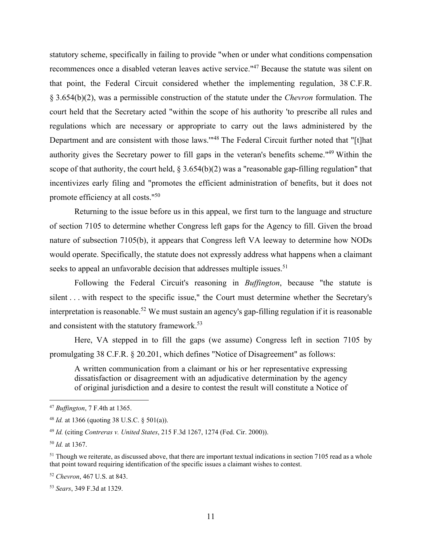statutory scheme, specifically in failing to provide "when or under what conditions compensation recommences once a disabled veteran leaves active service."47 Because the statute was silent on that point, the Federal Circuit considered whether the implementing regulation, 38 C.F.R. § 3.654(b)(2), was a permissible construction of the statute under the *Chevron* formulation. The court held that the Secretary acted "within the scope of his authority 'to prescribe all rules and regulations which are necessary or appropriate to carry out the laws administered by the Department and are consistent with those laws.'"48 The Federal Circuit further noted that "[t]hat authority gives the Secretary power to fill gaps in the veteran's benefits scheme."49 Within the scope of that authority, the court held,  $\S 3.654(b)(2)$  was a "reasonable gap-filling regulation" that incentivizes early filing and "promotes the efficient administration of benefits, but it does not promote efficiency at all costs."50

 Returning to the issue before us in this appeal, we first turn to the language and structure of section 7105 to determine whether Congress left gaps for the Agency to fill. Given the broad nature of subsection 7105(b), it appears that Congress left VA leeway to determine how NODs would operate. Specifically, the statute does not expressly address what happens when a claimant seeks to appeal an unfavorable decision that addresses multiple issues.<sup>51</sup>

 Following the Federal Circuit's reasoning in *Buffington*, because "the statute is silent . . . with respect to the specific issue," the Court must determine whether the Secretary's interpretation is reasonable.<sup>52</sup> We must sustain an agency's gap-filling regulation if it is reasonable and consistent with the statutory framework.<sup>53</sup>

 Here, VA stepped in to fill the gaps (we assume) Congress left in section 7105 by promulgating 38 C.F.R. § 20.201, which defines "Notice of Disagreement" as follows:

A written communication from a claimant or his or her representative expressing dissatisfaction or disagreement with an adjudicative determination by the agency of original jurisdiction and a desire to contest the result will constitute a Notice of

<sup>52</sup> *Chevron*, 467 U.S. at 843.

<sup>47</sup> *Buffington*, 7 F.4th at 1365.

<sup>48</sup> *Id.* at 1366 (quoting 38 U.S.C. § 501(a)).

<sup>49</sup> *Id.* (citing *Contreras v. United States*, 215 F.3d 1267, 1274 (Fed. Cir. 2000)).

<sup>50</sup> *Id.* at 1367.

 $51$  Though we reiterate, as discussed above, that there are important textual indications in section 7105 read as a whole that point toward requiring identification of the specific issues a claimant wishes to contest.

<sup>53</sup> *Sears*, 349 F.3d at 1329.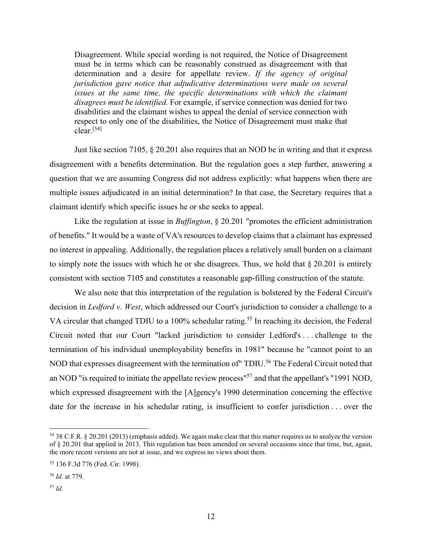Disagreement. While special wording is not required, the Notice of Disagreement must be in terms which can be reasonably construed as disagreement with that determination and a desire for appellate review. *If the agency of original jurisdiction gave notice that adjudicative determinations were made on several*  issues at the same time, the specific determinations with which the claimant *disagrees must be identified.* For example, if service connection was denied for two disabilities and the claimant wishes to appeal the denial of service connection with respect to only one of the disabilities, the Notice of Disagreement must make that  $clear<sub>1</sub>$ <sup>[54]</sup>

 Just like section 7105, § 20.201 also requires that an NOD be in writing and that it express disagreement with a benefits determination. But the regulation goes a step further, answering a question that we are assuming Congress did not address explicitly: what happens when there are multiple issues adjudicated in an initial determination? In that case, the Secretary requires that a claimant identify which specific issues he or she seeks to appeal.

 Like the regulation at issue in *Buffington*, § 20.201 "promotes the efficient administration of benefits." It would be a waste of VA's resources to develop claims that a claimant has expressed no interest in appealing. Additionally, the regulation places a relatively small burden on a claimant to simply note the issues with which he or she disagrees. Thus, we hold that § 20.201 is entirely consistent with section 7105 and constitutes a reasonable gap-filling construction of the statute.

 We also note that this interpretation of the regulation is bolstered by the Federal Circuit's decision in *Ledford v. West*, which addressed our Court's jurisdiction to consider a challenge to a VA circular that changed TDIU to a 100% schedular rating.<sup>55</sup> In reaching its decision, the Federal Circuit noted that our Court "lacked jurisdiction to consider Ledford's . . . challenge to the termination of his individual unemployability benefits in 1981" because he "cannot point to an NOD that expresses disagreement with the termination of TDIU.<sup>56</sup> The Federal Circuit noted that an NOD "is required to initiate the appellate review process"57 and that the appellant's "1991 NOD, which expressed disagreement with the [A]gency's 1990 determination concerning the effective date for the increase in his schedular rating, is insufficient to confer jurisdiction . . . over the

<sup>54 38</sup> C.F.R. § 20.201 (2013) (emphasis added). We again make clear that this matter requires us to analyze the version of § 20.201 that applied in 2013. This regulation has been amended on several occasions since that time, but, again, the more recent versions are not at issue, and we express no views about them.

<sup>55 136</sup> F.3d 776 (Fed. Cir. 1998).

<sup>56</sup> *Id.* at 779.

<sup>57</sup> *Id.*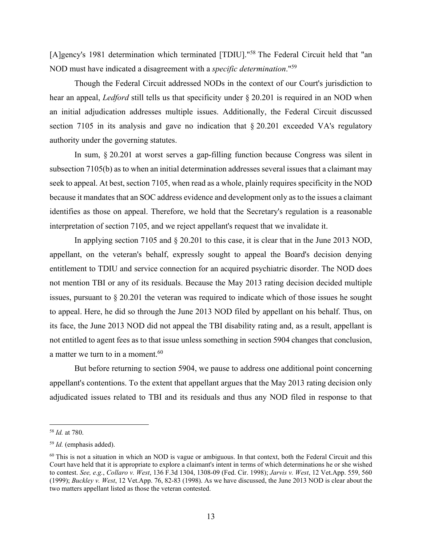[A]gency's 1981 determination which terminated [TDIU]."<sup>58</sup> The Federal Circuit held that "an NOD must have indicated a disagreement with a *specific determination*."59

 Though the Federal Circuit addressed NODs in the context of our Court's jurisdiction to hear an appeal, *Ledford* still tells us that specificity under § 20.201 is required in an NOD when an initial adjudication addresses multiple issues. Additionally, the Federal Circuit discussed section 7105 in its analysis and gave no indication that § 20.201 exceeded VA's regulatory authority under the governing statutes.

 In sum, § 20.201 at worst serves a gap-filling function because Congress was silent in subsection 7105(b) as to when an initial determination addresses several issues that a claimant may seek to appeal. At best, section 7105, when read as a whole, plainly requires specificity in the NOD because it mandates that an SOC address evidence and development only as to the issues a claimant identifies as those on appeal. Therefore, we hold that the Secretary's regulation is a reasonable interpretation of section 7105, and we reject appellant's request that we invalidate it.

 In applying section 7105 and § 20.201 to this case, it is clear that in the June 2013 NOD, appellant, on the veteran's behalf, expressly sought to appeal the Board's decision denying entitlement to TDIU and service connection for an acquired psychiatric disorder. The NOD does not mention TBI or any of its residuals. Because the May 2013 rating decision decided multiple issues, pursuant to § 20.201 the veteran was required to indicate which of those issues he sought to appeal. Here, he did so through the June 2013 NOD filed by appellant on his behalf. Thus, on its face, the June 2013 NOD did not appeal the TBI disability rating and, as a result, appellant is not entitled to agent fees as to that issue unless something in section 5904 changes that conclusion, a matter we turn to in a moment. $60$ 

 But before returning to section 5904, we pause to address one additional point concerning appellant's contentions. To the extent that appellant argues that the May 2013 rating decision only adjudicated issues related to TBI and its residuals and thus any NOD filed in response to that

<sup>58</sup> *Id.* at 780.

<sup>59</sup> *Id.* (emphasis added).

 $60$  This is not a situation in which an NOD is vague or ambiguous. In that context, both the Federal Circuit and this Court have held that it is appropriate to explore a claimant's intent in terms of which determinations he or she wished to contest. *See, e.g.*, *Collaro v. West*, 136 F.3d 1304, 1308-09 (Fed. Cir. 1998); *Jarvis v. West*, 12 Vet.App. 559, 560 (1999); *Buckley v. West*, 12 Vet.App. 76, 82-83 (1998). As we have discussed, the June 2013 NOD is clear about the two matters appellant listed as those the veteran contested.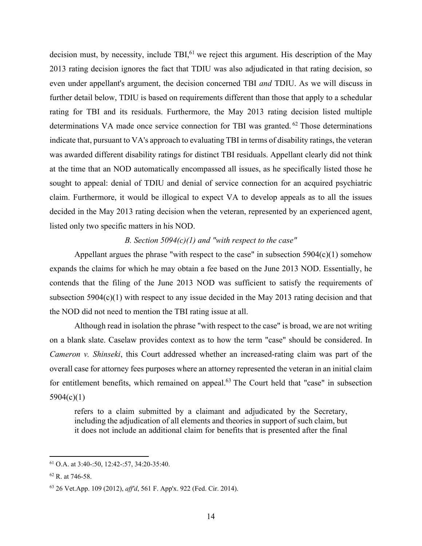decision must, by necessity, include TBI $<sup>61</sup>$  we reject this argument. His description of the May</sup> 2013 rating decision ignores the fact that TDIU was also adjudicated in that rating decision, so even under appellant's argument, the decision concerned TBI *and* TDIU. As we will discuss in further detail below, TDIU is based on requirements different than those that apply to a schedular rating for TBI and its residuals. Furthermore, the May 2013 rating decision listed multiple determinations VA made once service connection for TBI was granted. <sup>62</sup> Those determinations indicate that, pursuant to VA's approach to evaluating TBI in terms of disability ratings, the veteran was awarded different disability ratings for distinct TBI residuals. Appellant clearly did not think at the time that an NOD automatically encompassed all issues, as he specifically listed those he sought to appeal: denial of TDIU and denial of service connection for an acquired psychiatric claim. Furthermore, it would be illogical to expect VA to develop appeals as to all the issues decided in the May 2013 rating decision when the veteran, represented by an experienced agent, listed only two specific matters in his NOD.

## *B. Section 5094(c)(1) and "with respect to the case"*

Appellant argues the phrase "with respect to the case" in subsection  $5904(c)(1)$  somehow expands the claims for which he may obtain a fee based on the June 2013 NOD. Essentially, he contends that the filing of the June 2013 NOD was sufficient to satisfy the requirements of subsection 5904(c)(1) with respect to any issue decided in the May 2013 rating decision and that the NOD did not need to mention the TBI rating issue at all.

 Although read in isolation the phrase "with respect to the case" is broad, we are not writing on a blank slate. Caselaw provides context as to how the term "case" should be considered. In *Cameron v. Shinseki*, this Court addressed whether an increased-rating claim was part of the overall case for attorney fees purposes where an attorney represented the veteran in an initial claim for entitlement benefits, which remained on appeal.<sup>63</sup> The Court held that "case" in subsection 5904(c)(1)

refers to a claim submitted by a claimant and adjudicated by the Secretary, including the adjudication of all elements and theories in support of such claim, but it does not include an additional claim for benefits that is presented after the final

<sup>61</sup> O.A. at 3:40-:50, 12:42-:57, 34:20-35:40.

<sup>62</sup> R. at 746-58.

<sup>63 26</sup> Vet.App. 109 (2012), *aff'd*, 561 F. App'x. 922 (Fed. Cir. 2014).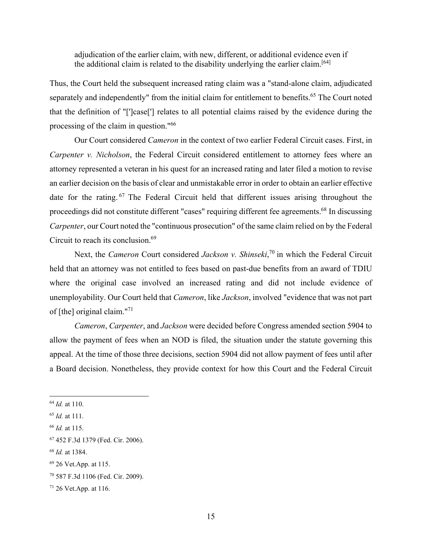adjudication of the earlier claim, with new, different, or additional evidence even if the additional claim is related to the disability underlying the earlier claim.[64]

Thus, the Court held the subsequent increased rating claim was a "stand-alone claim, adjudicated separately and independently" from the initial claim for entitlement to benefits.<sup>65</sup> The Court noted that the definition of "[']case['] relates to all potential claims raised by the evidence during the processing of the claim in question."66

 Our Court considered *Cameron* in the context of two earlier Federal Circuit cases. First, in *Carpenter v. Nicholson*, the Federal Circuit considered entitlement to attorney fees where an attorney represented a veteran in his quest for an increased rating and later filed a motion to revise an earlier decision on the basis of clear and unmistakable error in order to obtain an earlier effective date for the rating. 67 The Federal Circuit held that different issues arising throughout the proceedings did not constitute different "cases" requiring different fee agreements.68 In discussing *Carpenter*, our Court noted the "continuous prosecution" of the same claim relied on by the Federal Circuit to reach its conclusion.69

Next, the *Cameron* Court considered *Jackson v. Shinseki*,<sup>70</sup> in which the Federal Circuit held that an attorney was not entitled to fees based on past-due benefits from an award of TDIU where the original case involved an increased rating and did not include evidence of unemployability. Our Court held that *Cameron*, like *Jackson*, involved "evidence that was not part of [the] original claim."71

*Cameron*, *Carpenter*, and *Jackson* were decided before Congress amended section 5904 to allow the payment of fees when an NOD is filed, the situation under the statute governing this appeal. At the time of those three decisions, section 5904 did not allow payment of fees until after a Board decision. Nonetheless, they provide context for how this Court and the Federal Circuit

<sup>64</sup> *Id.* at 110.

<sup>65</sup> *Id.* at 111.

<sup>66</sup> *Id.* at 115.

<sup>67 452</sup> F.3d 1379 (Fed. Cir. 2006).

<sup>68</sup> *Id.* at 1384.

<sup>69 26</sup> Vet.App. at 115.

<sup>70 587</sup> F.3d 1106 (Fed. Cir. 2009).

<sup>71 26</sup> Vet.App. at 116.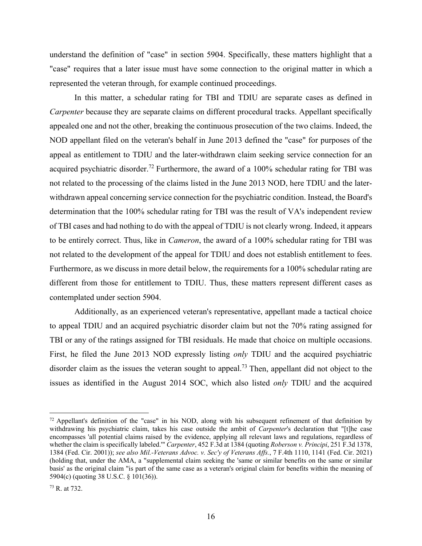understand the definition of "case" in section 5904. Specifically, these matters highlight that a "case" requires that a later issue must have some connection to the original matter in which a represented the veteran through, for example continued proceedings.

 In this matter, a schedular rating for TBI and TDIU are separate cases as defined in *Carpenter* because they are separate claims on different procedural tracks. Appellant specifically appealed one and not the other, breaking the continuous prosecution of the two claims. Indeed, the NOD appellant filed on the veteran's behalf in June 2013 defined the "case" for purposes of the appeal as entitlement to TDIU and the later-withdrawn claim seeking service connection for an acquired psychiatric disorder.<sup>72</sup> Furthermore, the award of a  $100\%$  schedular rating for TBI was not related to the processing of the claims listed in the June 2013 NOD, here TDIU and the laterwithdrawn appeal concerning service connection for the psychiatric condition. Instead, the Board's determination that the 100% schedular rating for TBI was the result of VA's independent review of TBI cases and had nothing to do with the appeal of TDIU is not clearly wrong. Indeed, it appears to be entirely correct. Thus, like in *Cameron*, the award of a 100% schedular rating for TBI was not related to the development of the appeal for TDIU and does not establish entitlement to fees. Furthermore, as we discuss in more detail below, the requirements for a 100% schedular rating are different from those for entitlement to TDIU. Thus, these matters represent different cases as contemplated under section 5904.

Additionally, as an experienced veteran's representative, appellant made a tactical choice to appeal TDIU and an acquired psychiatric disorder claim but not the 70% rating assigned for TBI or any of the ratings assigned for TBI residuals. He made that choice on multiple occasions. First, he filed the June 2013 NOD expressly listing *only* TDIU and the acquired psychiatric disorder claim as the issues the veteran sought to appeal.<sup>73</sup> Then, appellant did not object to the issues as identified in the August 2014 SOC, which also listed *only* TDIU and the acquired

 $72$  Appellant's definition of the "case" in his NOD, along with his subsequent refinement of that definition by withdrawing his psychiatric claim, takes his case outside the ambit of *Carpenter*'s declaration that "[t]he case encompasses 'all potential claims raised by the evidence, applying all relevant laws and regulations, regardless of whether the claim is specifically labeled.'" *Carpenter*, 452 F.3d at 1384 (quoting *Roberson v. Principi*, 251 F.3d 1378, 1384 (Fed. Cir. 2001)); *see also Mil.-Veterans Advoc. v. Sec'y of Veterans Affs.*, 7 F.4th 1110, 1141 (Fed. Cir. 2021) (holding that, under the AMA, a "supplemental claim seeking the 'same or similar benefits on the same or similar basis' as the original claim "is part of the same case as a veteran's original claim for benefits within the meaning of 5904(c) (quoting 38 U.S.C. § 101(36)).

<sup>73</sup> R. at 732.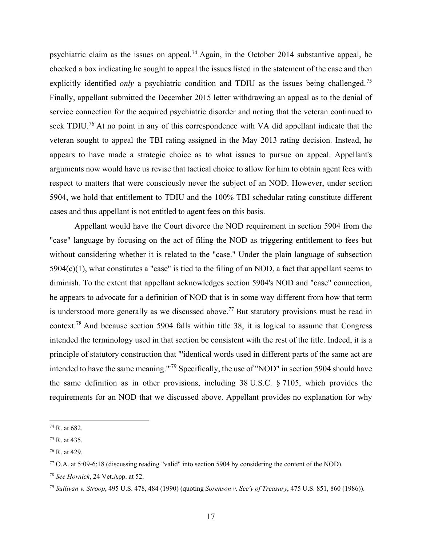psychiatric claim as the issues on appeal.<sup>74</sup> Again, in the October 2014 substantive appeal, he checked a box indicating he sought to appeal the issues listed in the statement of the case and then explicitly identified *only* a psychiatric condition and TDIU as the issues being challenged.<sup>75</sup> Finally, appellant submitted the December 2015 letter withdrawing an appeal as to the denial of service connection for the acquired psychiatric disorder and noting that the veteran continued to seek TDIU.<sup>76</sup> At no point in any of this correspondence with VA did appellant indicate that the veteran sought to appeal the TBI rating assigned in the May 2013 rating decision. Instead, he appears to have made a strategic choice as to what issues to pursue on appeal. Appellant's arguments now would have us revise that tactical choice to allow for him to obtain agent fees with respect to matters that were consciously never the subject of an NOD. However, under section 5904, we hold that entitlement to TDIU and the 100% TBI schedular rating constitute different cases and thus appellant is not entitled to agent fees on this basis.

Appellant would have the Court divorce the NOD requirement in section 5904 from the "case" language by focusing on the act of filing the NOD as triggering entitlement to fees but without considering whether it is related to the "case." Under the plain language of subsection 5904(c)(1), what constitutes a "case" is tied to the filing of an NOD, a fact that appellant seems to diminish. To the extent that appellant acknowledges section 5904's NOD and "case" connection, he appears to advocate for a definition of NOD that is in some way different from how that term is understood more generally as we discussed above.<sup>77</sup> But statutory provisions must be read in context.78 And because section 5904 falls within title 38, it is logical to assume that Congress intended the terminology used in that section be consistent with the rest of the title. Indeed, it is a principle of statutory construction that "'identical words used in different parts of the same act are intended to have the same meaning.'"79 Specifically, the use of "NOD" in section 5904 should have the same definition as in other provisions, including 38 U.S.C. § 7105, which provides the requirements for an NOD that we discussed above. Appellant provides no explanation for why

<sup>74</sup> R. at 682.

<sup>75</sup> R. at 435.

<sup>76</sup> R. at 429.

 $^{77}$  O.A. at 5:09-6:18 (discussing reading "valid" into section 5904 by considering the content of the NOD).

<sup>78</sup> *See Hornick*, 24 Vet.App. at 52.

<sup>79</sup> *Sullivan v. Stroop*, 495 U.S. 478, 484 (1990) (quoting *Sorenson v. Sec'y of Treasury*, 475 U.S. 851, 860 (1986)).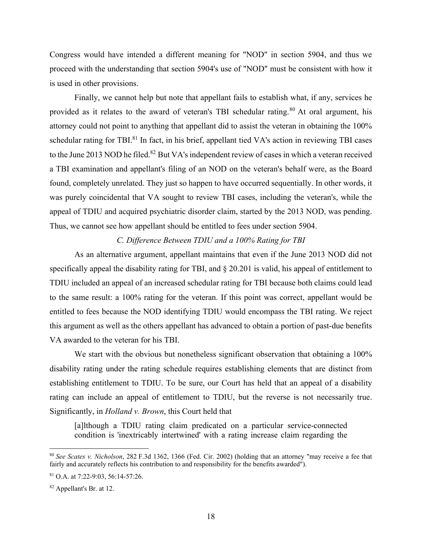Congress would have intended a different meaning for "NOD" in section 5904, and thus we proceed with the understanding that section 5904's use of "NOD" must be consistent with how it is used in other provisions.

 Finally, we cannot help but note that appellant fails to establish what, if any, services he provided as it relates to the award of veteran's TBI schedular rating.<sup>80</sup> At oral argument, his attorney could not point to anything that appellant did to assist the veteran in obtaining the 100% schedular rating for TBI.<sup>81</sup> In fact, in his brief, appellant tied VA's action in reviewing TBI cases to the June 2013 NOD he filed.<sup>82</sup> But VA's independent review of cases in which a veteran received a TBI examination and appellant's filing of an NOD on the veteran's behalf were, as the Board found, completely unrelated. They just so happen to have occurred sequentially. In other words, it was purely coincidental that VA sought to review TBI cases, including the veteran's, while the appeal of TDIU and acquired psychiatric disorder claim, started by the 2013 NOD, was pending. Thus, we cannot see how appellant should be entitled to fees under section 5904.

## *C. Difference Between TDIU and a 100% Rating for TBI*

 As an alternative argument, appellant maintains that even if the June 2013 NOD did not specifically appeal the disability rating for TBI, and § 20.201 is valid, his appeal of entitlement to TDIU included an appeal of an increased schedular rating for TBI because both claims could lead to the same result: a 100% rating for the veteran. If this point was correct, appellant would be entitled to fees because the NOD identifying TDIU would encompass the TBI rating. We reject this argument as well as the others appellant has advanced to obtain a portion of past-due benefits VA awarded to the veteran for his TBI.

We start with the obvious but nonetheless significant observation that obtaining a 100% disability rating under the rating schedule requires establishing elements that are distinct from establishing entitlement to TDIU. To be sure, our Court has held that an appeal of a disability rating can include an appeal of entitlement to TDIU, but the reverse is not necessarily true. Significantly, in *Holland v. Brown*, this Court held that

[a]lthough a TDIU rating claim predicated on a particular service-connected condition is 'inextricably intertwined' with a rating increase claim regarding the

<sup>80</sup> *See Scates v. Nicholson*, 282 F.3d 1362, 1366 (Fed. Cir. 2002) (holding that an attorney "may receive a fee that fairly and accurately reflects his contribution to and responsibility for the benefits awarded").

<sup>81</sup> O.A. at 7:22-9:03, 56:14-57:26.

<sup>82</sup> Appellant's Br. at 12.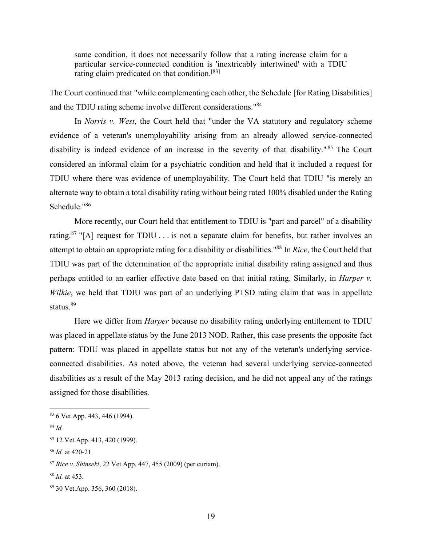same condition, it does not necessarily follow that a rating increase claim for a particular service-connected condition is 'inextricably intertwined' with a TDIU rating claim predicated on that condition.[83]

The Court continued that "while complementing each other, the Schedule [for Rating Disabilities] and the TDIU rating scheme involve different considerations."<sup>84</sup>

 In *Norris v. West*, the Court held that "under the VA statutory and regulatory scheme evidence of a veteran's unemployability arising from an already allowed service-connected disability is indeed evidence of an increase in the severity of that disability." 85 The Court considered an informal claim for a psychiatric condition and held that it included a request for TDIU where there was evidence of unemployability. The Court held that TDIU "is merely an alternate way to obtain a total disability rating without being rated 100% disabled under the Rating Schedule."86

 More recently, our Court held that entitlement to TDIU is "part and parcel" of a disability rating.<sup>87</sup> "[A] request for TDIU . . . is not a separate claim for benefits, but rather involves an attempt to obtain an appropriate rating for a disability or disabilities."88 In *Rice*, the Court held that TDIU was part of the determination of the appropriate initial disability rating assigned and thus perhaps entitled to an earlier effective date based on that initial rating. Similarly, in *Harper v. Wilkie*, we held that TDIU was part of an underlying PTSD rating claim that was in appellate status.<sup>89</sup>

 Here we differ from *Harper* because no disability rating underlying entitlement to TDIU was placed in appellate status by the June 2013 NOD. Rather, this case presents the opposite fact pattern: TDIU was placed in appellate status but not any of the veteran's underlying serviceconnected disabilities. As noted above, the veteran had several underlying service-connected disabilities as a result of the May 2013 rating decision, and he did not appeal any of the ratings assigned for those disabilities.

<sup>84</sup> *Id.*

<sup>83 6</sup> Vet.App. 443, 446 (1994).

<sup>85 12</sup> Vet.App. 413, 420 (1999).

<sup>86</sup> *Id.* at 420-21.

<sup>87</sup> *Rice v. Shinseki*, 22 Vet.App. 447, 455 (2009) (per curiam).

<sup>88</sup> *Id.* at 453.

<sup>89 30</sup> Vet.App. 356, 360 (2018).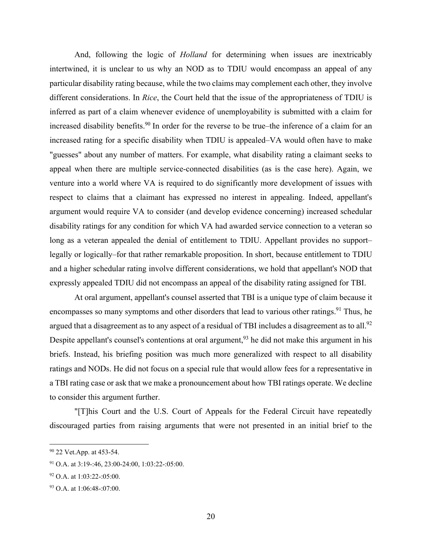And, following the logic of *Holland* for determining when issues are inextricably intertwined, it is unclear to us why an NOD as to TDIU would encompass an appeal of any particular disability rating because, while the two claims may complement each other, they involve different considerations. In *Rice*, the Court held that the issue of the appropriateness of TDIU is inferred as part of a claim whenever evidence of unemployability is submitted with a claim for increased disability benefits.<sup>90</sup> In order for the reverse to be true–the inference of a claim for an increased rating for a specific disability when TDIU is appealed–VA would often have to make "guesses" about any number of matters. For example, what disability rating a claimant seeks to appeal when there are multiple service-connected disabilities (as is the case here). Again, we venture into a world where VA is required to do significantly more development of issues with respect to claims that a claimant has expressed no interest in appealing. Indeed, appellant's argument would require VA to consider (and develop evidence concerning) increased schedular disability ratings for any condition for which VA had awarded service connection to a veteran so long as a veteran appealed the denial of entitlement to TDIU. Appellant provides no support– legally or logically–for that rather remarkable proposition. In short, because entitlement to TDIU and a higher schedular rating involve different considerations, we hold that appellant's NOD that expressly appealed TDIU did not encompass an appeal of the disability rating assigned for TBI.

 At oral argument, appellant's counsel asserted that TBI is a unique type of claim because it encompasses so many symptoms and other disorders that lead to various other ratings.<sup>91</sup> Thus, he argued that a disagreement as to any aspect of a residual of TBI includes a disagreement as to all.<sup>92</sup> Despite appellant's counsel's contentions at oral argument,  $93$  he did not make this argument in his briefs. Instead, his briefing position was much more generalized with respect to all disability ratings and NODs. He did not focus on a special rule that would allow fees for a representative in a TBI rating case or ask that we make a pronouncement about how TBI ratings operate. We decline to consider this argument further.

 "[T]his Court and the U.S. Court of Appeals for the Federal Circuit have repeatedly discouraged parties from raising arguments that were not presented in an initial brief to the

<sup>90 22</sup> Vet. App. at 453-54.

<sup>91</sup> O.A. at 3:19-:46, 23:00-24:00, 1:03:22-:05:00.

 $92$  O.A. at 1:03:22-:05:00.

<sup>93</sup> O.A. at 1:06:48-:07:00.